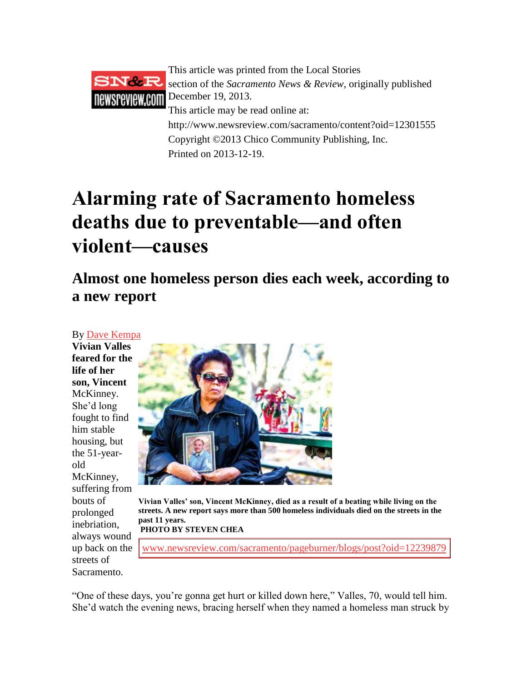

This article was printed from the Local Stories section of the *Sacramento News & Review*, originally published December 19, 2013. This article may be read online at: http://www.newsreview.com/sacramento/content?oid=12301555 Copyright ©2013 Chico Community Publishing, Inc. Printed on 2013-12-19.

## **Alarming rate of Sacramento homeless deaths due to preventable—and often violent—causes**

**Almost one homeless person dies each week, according to a new report**

## By [Dave Kempa](http://www.newsreview.com/sacramento/archive?author=oid%3A8413755)

**Vivian Valles feared for the life of her son, Vincent** McKinney. She'd long fought to find him stable housing, but the 51-yearold McKinney, suffering from bouts of prolonged inebriation, always wound up back on the streets of Sacramento.



**Vivian Valles' son, Vincent McKinney, died as a result of a beating while living on the streets. A new report says more than 500 homeless individuals died on the streets in the past 11 years.**

**PHOTO BY STEVEN CHEA**

[www.newsreview.com/sacramento/pageburner/blogs/post?oid=12239879](http://www.newsreview.com/sacramento/pageburner/blogs/post?oid=12239879)

"One of these days, you're gonna get hurt or killed down here," Valles, 70, would tell him. She'd watch the evening news, bracing herself when they named a homeless man struck by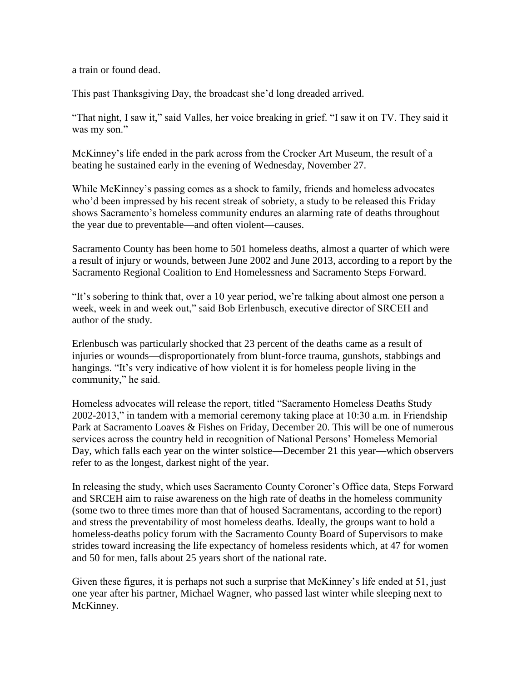a train or found dead.

This past Thanksgiving Day, the broadcast she'd long dreaded arrived.

"That night, I saw it," said Valles, her voice breaking in grief. "I saw it on TV. They said it was my son."

McKinney's life ended in the park across from the Crocker Art Museum, the result of a beating he sustained early in the evening of Wednesday, November 27.

While McKinney's passing comes as a shock to family, friends and homeless advocates who'd been impressed by his recent streak of sobriety, a study to be released this Friday shows Sacramento's homeless community endures an alarming rate of deaths throughout the year due to preventable—and often violent—causes.

Sacramento County has been home to 501 homeless deaths, almost a quarter of which were a result of injury or wounds, between June 2002 and June 2013, according to a report by the Sacramento Regional Coalition to End Homelessness and Sacramento Steps Forward.

"It's sobering to think that, over a 10 year period, we're talking about almost one person a week, week in and week out," said Bob Erlenbusch, executive director of SRCEH and author of the study.

Erlenbusch was particularly shocked that 23 percent of the deaths came as a result of injuries or wounds—disproportionately from blunt-force trauma, gunshots, stabbings and hangings. "It's very indicative of how violent it is for homeless people living in the community," he said.

Homeless advocates will release the report, titled "Sacramento Homeless Deaths Study 2002-2013," in tandem with a memorial ceremony taking place at 10:30 a.m. in Friendship Park at Sacramento Loaves & Fishes on Friday, December 20. This will be one of numerous services across the country held in recognition of National Persons' Homeless Memorial Day, which falls each year on the winter solstice—December 21 this year—which observers refer to as the longest, darkest night of the year.

In releasing the study, which uses Sacramento County Coroner's Office data, Steps Forward and SRCEH aim to raise awareness on the high rate of deaths in the homeless community (some two to three times more than that of housed Sacramentans, according to the report) and stress the preventability of most homeless deaths. Ideally, the groups want to hold a homeless-deaths policy forum with the Sacramento County Board of Supervisors to make strides toward increasing the life expectancy of homeless residents which, at 47 for women and 50 for men, falls about 25 years short of the national rate.

Given these figures, it is perhaps not such a surprise that McKinney's life ended at 51, just one year after his partner, Michael Wagner, who passed last winter while sleeping next to McKinney.